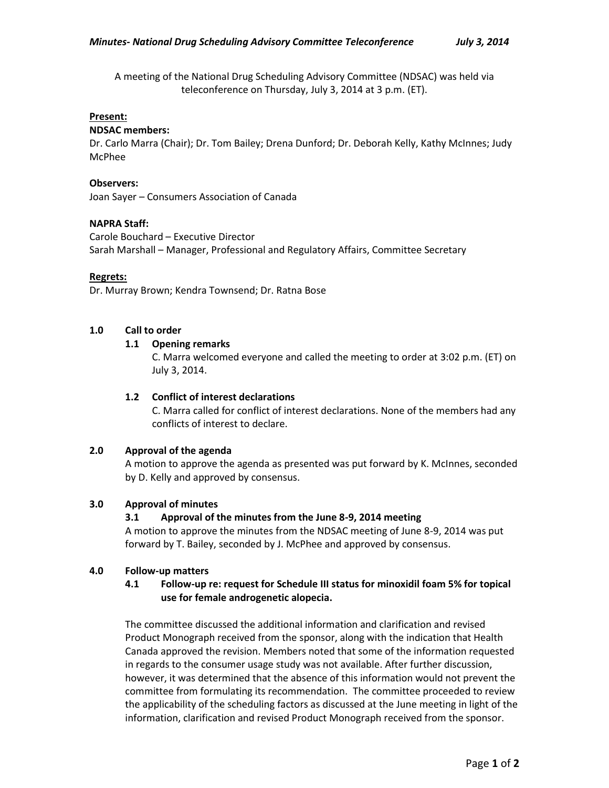A meeting of the National Drug Scheduling Advisory Committee (NDSAC) was held via teleconference on Thursday, July 3, 2014 at 3 p.m. (ET).

#### **Present:**

#### **NDSAC members:**

Dr. Carlo Marra (Chair); Dr. Tom Bailey; Drena Dunford; Dr. Deborah Kelly, Kathy McInnes; Judy McPhee

#### **Observers:**

Joan Sayer – Consumers Association of Canada

#### **NAPRA Staff:**

Carole Bouchard – Executive Director Sarah Marshall – Manager, Professional and Regulatory Affairs, Committee Secretary

#### **Regrets:**

Dr. Murray Brown; Kendra Townsend; Dr. Ratna Bose

# **1.0 Call to order**

# **1.1 Opening remarks**

C. Marra welcomed everyone and called the meeting to order at 3:02 p.m. (ET) on July 3, 2014.

### **1.2 Conflict of interest declarations**

C. Marra called for conflict of interest declarations. None of the members had any conflicts of interest to declare.

# **2.0 Approval of the agenda**

A motion to approve the agenda as presented was put forward by K. McInnes, seconded by D. Kelly and approved by consensus.

# **3.0 Approval of minutes**

# **3.1 Approval of the minutes from the June 8-9, 2014 meeting**

A motion to approve the minutes from the NDSAC meeting of June 8-9, 2014 was put forward by T. Bailey, seconded by J. McPhee and approved by consensus.

#### **4.0 Follow-up matters**

# **4.1 Follow-up re: request for Schedule III status for minoxidil foam 5% for topical use for female androgenetic alopecia.**

The committee discussed the additional information and clarification and revised Product Monograph received from the sponsor, along with the indication that Health Canada approved the revision. Members noted that some of the information requested in regards to the consumer usage study was not available. After further discussion, however, it was determined that the absence of this information would not prevent the committee from formulating its recommendation. The committee proceeded to review the applicability of the scheduling factors as discussed at the June meeting in light of the information, clarification and revised Product Monograph received from the sponsor.